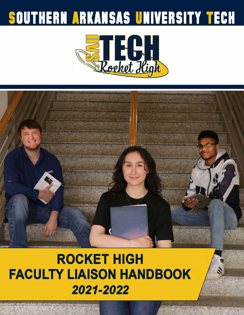# **SOUTHERN ARKANSAS UNIVERSITY TECH**





## **ROCKET HIGH FACULTY LIAISON HANDBOOK**  *2021-2022*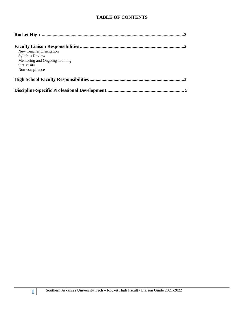#### **TABLE OF CONTENTS**

| New Teacher Orientation        |
|--------------------------------|
| Syllabus Review                |
| Mentoring and Ongoing Training |
| <b>Site Visits</b>             |
| Non-compliance                 |
|                                |
|                                |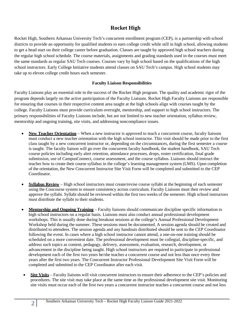## **Rocket High**

Rocket High, Southern Arkansas University Tech's concurrent enrollment program (CEP), is a partnership with school districts to provide an opportunity for qualified students to earn college credit while still in high school, allowing students to get a head start on their college career before graduation. Classes are taught by approved high school teachers during the regular high school schedule. The course materials, assignments and grading standards used in the courses must meet the same standards as regular SAU Tech courses. Courses vary by high school based on the qualifications of the high school instructors. Early College Initiative students attend classes on SAU Tech's campus. High school students may take up to eleven college credit hours each semester.

#### **Faculty Liaison Responsibilities**

Faculty Liaisons play an essential role in the success of the Rocket High program. The quality and academic rigor of the program depends largely on the active participation of the Faculty Liaisons. Rocket High Faculty Liaisons are responsible for ensuring that courses in their respective content area taught at the high schools align with courses taught by the college. Faculty Liaisons must provide curriculum oversight, mentorship, and support to high school instructors. The primary responsibilities of Faculty Liaisons include, but are not limited to new teacher orientation, syllabus review, mentorship and ongoing training, site visits, and addressing noncompliance issues.

- **New Teacher Orientation** When a new instructor is approved to teach a concurrent course, faculty liaisons must conduct a new teacher orientation with the high school instructor. This visit should be made prior to the first class taught by a new concurrent instructor or, depending on the circumstances, during the first semester a course is taught. The faculty liaison will go over the concurrent faculty handbook, the student handbook, SAU Tech course policies including early alert retention, attendance processes, drops, roster certification, final grade submission, use of CampusConnect, course assessment, and the course syllabus. Liaisons should instruct the teacher how to create their course syllabus in the college's learning management system (LMS). Upon completion of the orientation, the New Concurrent Instructor Site Visit Form will be completed and submitted to the CEP **Coordinator**
- **Syllabus Review** High school instructors must create/revise course syllabi at the beginning of each semester using the Concourse system to ensure consistency across curriculum. Faculty Liaisons must then review and approve the syllabi. Syllabi should be reviewed within the first two weeks of the semester. High school instructors must distribute the syllabi to their students.
- **Mentorship and Ongoing Training** Faculty liaisons should communicate discipline specific information to high school instructors on a regular basis. Liaisons must also conduct annual professional development workshops. This is usually done during breakout sessions at the college's Annual Professional Development Workshop held during the summer. These sessions must be documented. A session agenda should be created and distributed to attendees. The session agenda and any handouts distributed should be sent to the CEP Coordinator following the event. In cases where a high school instructor cannot attend, a one-on-one training should be scheduled on a more convenient date. The professional development must be collegial, discipline-specific, and address such topics as content, pedagogy, delivery, assessment, evaluation, research, development, or advancement in the discipline being taught. High school instructors are required to participate in professional development each of the first two years he/she teaches a concurrent course and not less than once every three years after the first two years. The Concurrent Instructor Professional Development Site Visit Form will be completed and submitted to the CEP Coordinator after each visit.
- **Site Visits** Faculty liaisons will visit concurrent instructors to ensure their adherence to the CEP's policies and procedures. The site visit may take place at the same time as the professional development site visit. Monitoring site visits must occur each of the first two years a concurrent instructor teaches a concurrent course and not less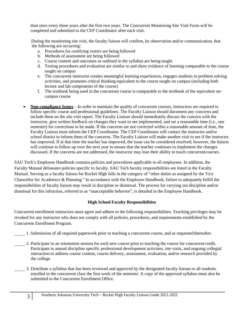than once every three years after the first two years. The Concurrent Monitoring Site Visit Form will be completed and submitted to the CEP Coordinator after each visit.

During the monitoring site visit, the faculty liaison will confirm, by observation and/or communication, that the following are occurring:

- a. Procedures for certifying rosters are being followed
- b. Methods of assessment are being followed
- c. Course content and outcomes as outlined in the syllabus are being taught
- d. Testing procedures and evaluation are similar to and show evidence of learning comparable to the course taught on campus
- e. The concurrent instructor creates meaningful learning experiences, engages students in problem solving activities, and promotes critical thinking equivalent to the course taught on campus (including both lecture and lab components of the course)
- f. The textbook being used in the concurrent course is comparable to the textbook of the equivalent oncampus course
- **Non-compliance Issues** In order to maintain the quality of concurrent courses, instructors are required to follow specific course and professional guidelines. The Faculty Liaison should document any concerns and include them on the site visit report. The Faculty Liaison should immediately discuss the concern with the instructor, give written feedback on changes they want to see implemented, and set a reasonable time (i.e., one semester) for corrections to be made. If the concerns are not corrected within a reasonable amount of time, the Faculty Liaison must inform the CEP Coordinator. The CEP Coordinator will contact the instructor and/or school district to inform them of the concerns. The Faculty Liaison will make another visit to see if the instructor has improved. If at that time the teacher has improved, the issue can be considered resolved; however, the liaison will continue to follow up over the next year to ensure that the teacher continues to implement the changes discussed. If the concerns are not addressed, the instructor may lose their ability to teach concurrentcourses.

SAU Tech's Employee Handbook contains policies and procedures applicable to all employees. In addition, the Faculty Manual delineates policies specific to faculty. SAU Tech faculty responsibilities are listed in the Faculty Manual. Serving as a faculty liaison for Rocket High falls in the category of "other duties as assigned by the Vice Chancellor for Academics & Planning." In accordance with the Employee Handbook, failure to adequately fulfill the responsibilities of faculty liaison may result in discipline or dismissal. The process for carrying out discipline and/or dismissal for this infraction, referred to as "unacceptable behavior", is detailed in the Employee Handbook.

#### **High School Faculty Responsibilities**

Concurrent enrollment instructors must agree and adhere to the following responsibilities. Teaching privileges may be revoked for any instructor who does not comply with all policies, procedures, and requirements established by the Concurrent Enrollment Program.

- 1. Submission of all required paperwork prior to teaching a concurrent course, and as requested thereafter.
- 2. Participate in an orientation session for each new course prior to teaching the course for concurrent credit. Participate in annual discipline specific professional development activities, site visits, and ongoing collegial interaction to address course content, course delivery, assessment, evaluation, and/or research provided by the college.
- 3. Distribute a syllabus that has been reviewed and approved by the designated faculty liaison to all students enrolled in the concurrent class the first week of the semester. A copy of the approved syllabus must also be submitted to the Concurrent Enrollment Office.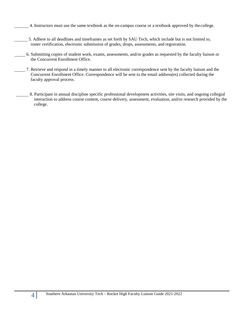- 4. Instructors must use the same textbook as the on-campus course or a textbook approved by the college.
- 5. Adhere to all deadlines and timeframes as set forth by SAU Tech, which include but is not limited to, roster certification, electronic submission of grades, drops, assessments, and registration.
- 6. Submitting copies of student work, exams, assessments, and/or grades as requested by the faculty liaison or the Concurrent Enrollment Office.
- 7. Retrieve and respond in a timely manner to all electronic correspondence sent by the faculty liaison and the Concurrent Enrollment Office. Correspondence will be sent to the email address(es) collected during the faculty approval process.
- 8. Participate in annual discipline specific professional development activities, site visits, and ongoing collegial interaction to address course content, course delivery, assessment, evaluation, and/or research provided by the college.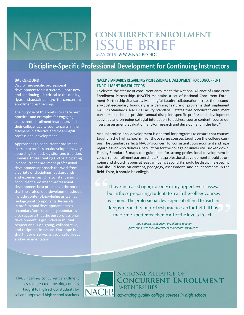## **CONCURRENT ENROLLMENT NACEP ISSUE BRIEF** AY 2015 WWW.NACEP.ORG

## **Discipline-Specific Professional Development for Continuing Instructors**

#### **BACKGROUND**

Discipline-specific professional developmentforinstructors—bothnew and continuing-is critical to the quality, rigor,andsustainabilityoftheconcurrent enrollment partnership.

The purpose of this brief is to share best practices and examples for engaging concurrent enrollment instructors and their college faculty counterparts in the discipline in effective and meaningful professional development.

Approaches to concurrent enrollment instructor professional development vary according to need, logistics, and tradition. Likewise,thosecreatingandparticipating in concurrent enrollment professional development approach the work from a variety of disciplines, backgrounds, and experiences. One constant among concurrent enrollment professional development best practices is the notion that the professional development should include content-knowledge as well as pedagogical components.Research secondary/post-secondary boundaries also suggests that the best professional respect and is on-going, collaborative,

#### **NACEP STANDARDS REGARDING PROFESSIONAL DEVELOPMENT FOR CONCURRENT ENROLLMENT INSTRUCTORS**

To elevate the stature of concurrent enrollment, the National Alliance of Concurrent Enrollment Partnerships (NACEP) maintains a set of National Concurrent Enrollment Partnership Standards. Meaningful faculty collaboration across the secondary/post-secondary boundary is a defining feature of programs that implement NACEP's Standards. NACEP's Faculty Standard 3 states that concurrent enrollment partnerships should provide "annual discipline-specific professional development activities and on-going collegial interaction to address course content, course delivery, assessment, evaluation, and/or research and development in the field."

Annual professional developmentis one tool for programsto ensure that courses taught in the high school mirror those same courses taught on the college campus. The Standard reflects NACEP's concern for consistent course content and rigor regardless of who delivers instruction for the college or university. Broken down, Faculty Standard 3 maps out guidelines for strong professional development in concurrentenrollmentpartnerships:First,professionaldevelopmentshouldbeongoing and should happen at least annually. Second, it should be discipline-specific and should focus on content, pedagogy, assessment, and advancements in the field. Third, it should be collegial.

 $\begin{aligned} \text{field.} \, \text{TI} \\\\ \text{I} \\\\ \hat{c} \end{aligned}$  $\sum$ I have increased rigor, not only in my upper level classes, butinthosepreparing students toreach the college courses as seniors. The professional development offered to teachers keepsmeonthecuspofbestpracticesinthefield. Ithas made me a better teacher in all of the levels I teach.

*Kay Edberg, concurrent enrollment teacher partneringwiththeUniversity ofMinnesota, TwinCities*

NACEP defines concurrent enrollment as college-credit bearing courses taught to high school students by college-approved high school teachers.



National Alliance of **CONCURRENT ENROLLMENT** PARTNERSHIPS advancing quality college courses in high school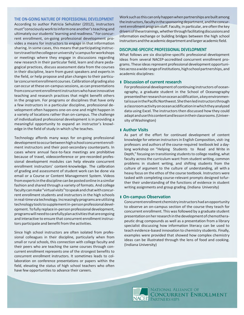#### **THE ON-GOING NATURE OF PROFESSIONAL DEVELOPMENT**

According to author Patricia Sehulster (2012), instructors must"consciously worktoinformoneanother'steachingand ultimately ourstudents' learning and readiness."For concurrent enrollment, on-going professional development provides a means for instructors to engage in that information sharing. In some cases, this means that participating instructorstraveltothecollegeoruniversity'scampusforworkshops or meetings where they engage in discussions regarding new research in their particular field, learn and share pedagogical practices, discuss assessment data from the courses in their discipline, learn from guest speakers and experts in the field, or help propose and plan changes to their particularconcurrentenrollmentcourses.Calibrationofgrading also can occur atthese on-campus sessions, as can presentations fromconcurrentenrollmentinstructorswhohaveinnovative teaching and research practices that might benefit others in the program. For programs or disciplines that have only a few instructors in a particular discipline, professional development often happens one-on-one and might happen in a variety of locations rather than on-campus. The challenge of individualized professional development is in providing a meaningful opportunity to expand an instructor's knowledge in the field of study in which s/he teaches.

Technology affords many ways for on-going professional developmenttooccurbetweenhighschoolconcurrentenrollment instructors and their post-secondary counterparts. In cases where annual face-to-face meetings are prohibitive because of travel, videoconference or pre-recorded professional development modules can help elevate concurrent enrollment instructors' content-knowledge. The calibration of grading and assessment of student work can be done via email or a Course or Content Management System. Videos fromexpertsinthedisciplinecanbepostedonlinein a similar fashion and shared through a variety of formats. And college facultycanmake"virtualvisits"tospeakandchatwithconcurrent enrollment students and instructors in the high schools in real-time via technology. Increasingly programs are utilizing technologytoolstosupplementin-personprofessionaldevelopment. To fully replace in-person professional development, programswillneedtocarefullyplanactivitiesthatareongoing and interactive to ensure that concurrent enrollment instructors participate and benefit from the activities.

Since high school instructors are often isolated from professional colleagues in their discipline, particularly when from small or rural schools, this connection with college faculty and their peers who are teaching the same courses through concurrent enrollment represents one of the strongest benefits to concurrent enrollment instructors. It sometimes leads to collaboration on conference presentations or papers within the field, elevating the status of high school teachers who often have few opportunities to advance their careers.

Work such as this can only happen when partnerships are built among the instructors, faculty in the sponsoring department, and the concurrent enrollment program staff. Faculty, in particular, are often the key drivers of these trainings, whether through facilitating discussions and information exchange or building bridges between the high school instructors and the academic department and larger academic field.

#### **DISCIPLINE-SPECIFIC PROFESSIONAL DEVELOPMENT**

What follows are six discipline-specific professional development ideas from several NACEP-accredited concurrent enrollment programs. These ideas represent professional development opportunitiesacross a widerangeofinstitutions,highschoolpartnerships,and academic disciplines:

#### l **Discussion of current research**

For professional development of continuing instructors of oceanography, a graduate student in the School of Oceanography presentedherresearchonoceanacidification, a keyenvironmental issue inthePacificNorthwest.Shethenledinstructorsthrough a classroomactivityonoceanacidificationinwhichtheyanalyzed data using Excel. The instructors then discussed how they could adaptandusethiscontentandlessonintheirclassrooms.(University ofWashington)

#### l **Author Visits**

As part of the effort for continued development of content knowledge for veteran instructors in English Composition, visit- ing professors and authors of the course-required textbook led a daylong workshop on "Helping Students to Read and Write in Depth," focusing on transitioning students to college reading, what faculty across the curriculum want from student writing, common problems in student writing, and shifting students from the culture of argument to the culture of understanding, all with a heavy focus on the ethos of the course textbook. Instructors were tasked with completing course-relevant prompts designed tofurther their understanding of the functions of evidence in student writing assignments and group grading. (Indiana University)

#### l **On-campus Observation**

Concurrentenrollmentchemistryinstructorshadanopportunity to observe an on-campus section of the course they teach for concurrent enrollment. This was followed by a graduate student presentationonherresearchinthedevelopmentof chemotherapeutic drug compounds as well as a presentation from a library specialist discussing how information literacy can be used to teach evidence-based innovation to chemistry students. Finally, examples were provided that showed how complex chemistry ideas can be illustrated through the lens of food and cooking. (Indiana University)

NATIONAL ALLIANCE OF **CONCURRENT ENROLLMENT**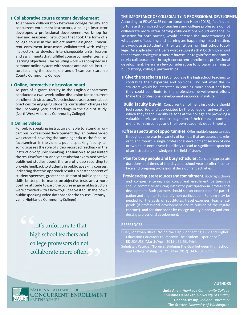#### l **Collaborative course content development**

To enhance collaboration between college faculty and concurrent enrollment instructors, a college instructor developed a professional development workshop for new and seasoned instructors that took the form of a college course in the subject matter assigned. Concurrent enrollment instructors collaborated with college instructors to develop interchangeable units, lessons and assignments that fulfilled course competencies, and learningobjectives.Theresultingworkwas compiledina common online system with shared access for all instructors teaching the course, on- and off-campus. (Laramie County Community College)

#### l **Online, interactive discussion board**

As part of a grant, faculty in the English department conducted a two-week online discussion for concurrent enrollmentinstructors.Topicsincluded assessment, best practices for engaging students, curriculum changes for the upcoming year, and readings in the field of study. (NorthWest Arkansas CommunityCollege)

#### l**Online videos**

For public speaking instructors unable to attend an oncampus professional development day, an online video was created, covering the same agenda as the face-toface seminar. In the video, a public-speaking faculty liaison discusses the role of video recorded feedback in the instructionofpublic speaking.Theliaisonalsopresented theresultsof a meta-analyticstudythatexaminedtwelve published studies about the use of video recording to provide feedback to students in public speaking courses, indicating that this approach results in better content of student speeches, greater acquisition of public speaking skills, better performance on objective tests, and a more positive attitude toward the course in general.Instructors were provided with a how-to guide to establish their own public speaking video database forthe course.(Pennsylvania Highlands CommunityCollege)

( t<br>99<br>| …it's unfortunate that high school teachers and college professors do not collaborate more often.

#### **THE IMPORTANCE OF COLLEGIALITY IN PROFESSIONAL DEVELOPMEN**

According to EDUCAUSE editor Jonathan Huer (2015), "... it's unfortunate that high school teachers and college professors do not collaborate more often. Strong collaborations would enhance instruction for both parties, would increase the understanding of what types of teaching and learning are happening in each setting, andwould assist studentsintheirtransitionfromhighschooltocollege." An application of Huer's words suggests that both high school teachersandcollegeinstructorshavemuchtogainfromoneanother via collaborations through concurrent enrollment professional development. Here are a few considerations for programs aiming to build strong, collegial partnerships.

- l **Give the teachers a say.** Encourage the high school teachersto contribute their expertise and opinions. Find out what the instructors would be interested in learning more about and how they could contribute to the professional development effort. Make the professional development reciprocal in nature.
- l **Build faculty buy-in.** Concurrent enrollment instructors should feel supported and appreciated by the college or university for which they teach. Faculty liaisons at the college are providing a valuable service and need recognition of their time and commitment from the college and their own academic departments.
- l **Offer a spectrumofopportunities.**Offermultipleopportunities throughout the year in a variety of formats that are accessible, relevant, and robust. A single professional development session of one or two hours once a year is unlikely to lead to significant expansion of an instructor's knowledge in the field of study.
- l **Plan for busy people and busy schedules.** Consider appropriate durations and times of the day and school year to offer face-toface and on-going professional development activities.
- l **Provideadequateresourcesandcommitment.**Both high schools and colleges entering into concurrent enrollment partnerships should commit to ensuring instructor participation in professional development. Both partners should set an expectation for participation and monitor to identify non-participation. Funding may be needed for the costs of substitutes, travel expenses, teacher stipends (if professional development occurs outside of the regular contract), and for time spent by college faculty planning and conducting professional development.

#### **REFERENCES**

- Huer, Jonathan Blake. "Mind the Gap: Connecting K-12 and Higher Education Educators to Improve The Student Experience." EDUCAUSE (March/April 2015): 52-53. Print.
- Sehulster, Patricia. "Forums: Bridging the Gap between High School

#### **AUTHORS**

**Linda Allen**, *Hawkeye Community College* **Christine Denecker**, *University of Findlay* **Deanna Jessup**, *Indiana University* **Tim Stetter**, *University of Washington*

NATIONAL ALLIANCE OF **CONCURRENT** ENROLLMENT **NACEP** PARTNERSHIPS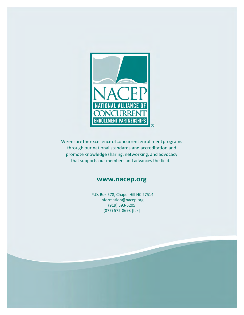

We ensure the excellence of concurrent enrollment programs through our national standards and accreditation and promote knowledge sharing, networking, and advocacy that supports our members and advances the field.

### **[www.nacep.org](http://www.nacep.org/)**

P.O. Box 578, Chapel Hill NC 27514 [information@nacep.org](mailto:information@nacep.org) (919) 593-5205 (877) 572-8693 [fax]